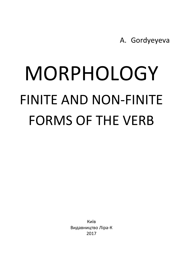A. Gordyeyeva

# MORPHOLOGY FINITE AND NON‐FINITE FORMS OF THE VERB

Київ Видавництво Ліра‐К 2017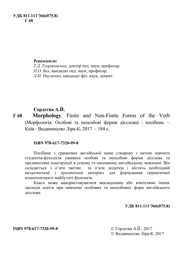# **УДК 811.111'366(075.8) Г 68**

### **Рецензенти:**

*Т.Д. Тхоржевська*, доктор пед. наук, професор; *П.О. Бех*, кандидат пед. наук, професор; *Л.П. Науменко*, кандидат філ. наук, доцент.

# **Гордєєва А.Й.**

**Г 68 Morphology**. Finite and Non-Finite Forms of the Verb (Морфологія. Особові та неособові форми дієслова) : посібник. – Київ : Видавництво Ліра-К, 2017. – 184 с.

## **ISBN 978-617-7320-99-8**

Посібник з граматики англійської мови створено з метою навчити студентів-філологів уживати особові та неособові форми дієслова та предикативні конструкції в усному та писемному англійському мовленні. Він складається з п'яти частин та п'яти додатків і містить необхідний *теоретичний* і *практичний* матеріал для формування граматичної компетентності майбутніх філологів.

Книга може використовуватися викладачами або вчителями інших закладів освіти при вивченні особових та неособових форм англійського дієслова.

## **УДК 811.111'366(075.8)**

© Видавництво Ліра-К, 2017

**ISBN 978-617-7320-99-8** © Гордєєва А.Й., 2017